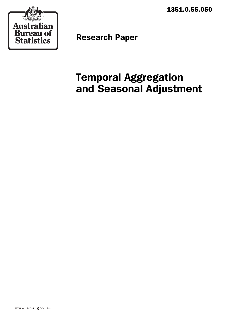1351.0.55.050



Research Paper

# Temporal Aggregation and Seasonal Adjustment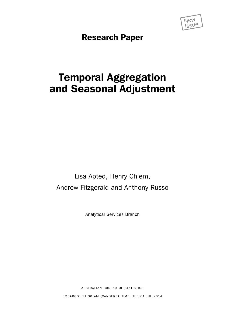

Research Paper

# Temporal Aggregation and Seasonal Adjustment

Lisa Apted, Henry Chiem, Andrew Fitzgerald and Anthony Russo

Analytical Services Branch

AUSTRALIAN BUREAU OF STATISTICS

EMBARGO: 11.30 AM (CANBERRA TIME) TUE 01 JUL 2014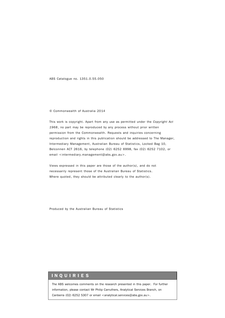ABS Catalogue no. 1351.0.55.050

#### © Commonwealth of Australia 2014

This work is copyright. Apart from any use as permitted under the *Copyright Act 1968*, no part may be reproduced by any process without prior written permission from the Commonwealth. Requests and inquiries concerning reproduction and rights in this publication should be addressed to The Manager, Intermediary Management, Australian Bureau of Statistics, Locked Bag 10, Belconnen ACT 2616, by telephone (02) 6252 6998, fax (02) 6252 7102, or email <intermediary.management@abs.gov.au>.

Views expressed in this paper are those of the author(s), and do not necessarily represent those of the Australian Bureau of Statistics. Where quoted, they should be attributed clearly to the author(s).

Produced by the Australian Bureau of Statistics

#### INQUIRIES

The ABS welcomes comments on the research presented in this paper. For further information, please contact Mr Philip Carruthers, Analytical Services Branch, on Canberra (02) 6252 5307 or email <analytical.services@abs.gov.au>.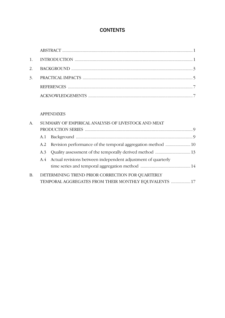# **CONTENTS**

#### APPENDIXES

| A.        | SUMMARY OF EMPIRICAL ANALYSIS OF LIVESTOCK AND MEAT |                                                                  |  |  |  |
|-----------|-----------------------------------------------------|------------------------------------------------------------------|--|--|--|
|           |                                                     |                                                                  |  |  |  |
|           |                                                     |                                                                  |  |  |  |
|           |                                                     |                                                                  |  |  |  |
|           |                                                     |                                                                  |  |  |  |
|           |                                                     | A.4 Actual revisions between independent adjustment of quarterly |  |  |  |
|           |                                                     |                                                                  |  |  |  |
| <b>B.</b> | DETERMINING TREND PRIOR CORRECTION FOR QUARTERLY    |                                                                  |  |  |  |
|           |                                                     | TEMPORAL AGGREGATES FROM THEIR MONTHLY EQUIVALENTS  17           |  |  |  |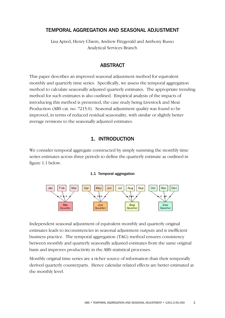# TEMPORAL AGGREGATION AND SEASONAL ADJUSTMENT

Lisa Apted, Henry Chiem, Andrew Fitzgerald and Anthony Russo Analytical Services Branch

# ABSTRACT

This paper describes an improved seasonal adjustment method for equivalent monthly and quarterly time series. Specifically, we assess the temporal aggregation method to calculate seasonally adjusted quarterly estimates. The appropriate trending method for such estimates is also outlined. Empirical analysis of the impacts of introducing this method is presented, the case study being Livestock and Meat Production (ABS cat. no. 7215.0). Seasonal adjustment quality was found to be improved, in terms of reduced residual seasonality, with similar or slightly better average revisions to the seasonally adjusted estimates.

# 1. INTRODUCTION

We consider temporal aggregate constructed by simply summing the monthly time series estimates across three periods to define the quarterly estimate as outlined in figure 1.1 below.

#### 1.1 Temporal aggregation



Independent seasonal adjustment of equivalent monthly and quarterly original estimates leads to inconsistencies in seasonal adjustment outputs and is inefficient business practice. The temporal aggregation (TAG) method ensures consistency between monthly and quarterly seasonally adjusted estimates from the same original basis and improves productivity in the ABS statistical processes.

Monthly original time series are a richer source of information than their temporally derived quarterly counterparts. Hence calendar related effects are better estimated at the monthly level.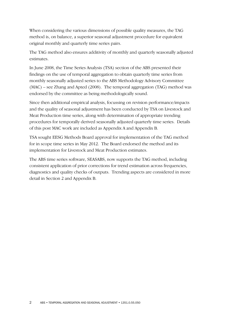When considering the various dimensions of possible quality measures, the TAG method is, on balance, a superior seasonal adjustment procedure for equivalent original monthly and quarterly time series pairs.

The TAG method also ensures additivity of monthly and quarterly seasonally adjusted estimates.

In June 2008, the Time Series Analysis (TSA) section of the ABS presented their findings on the use of temporal aggregation to obtain quarterly time series from monthly seasonally adjusted series to the ABS Methodology Advisory Committee (MAC) – see Zhang and Apted (2008). The temporal aggregation (TAG) method was endorsed by the committee as being methodologically sound.

Since then additional empirical analysis, focussing on revision performance/impacts and the quality of seasonal adjustment has been conducted by TSA on Livestock and Meat Production time series, along with determination of appropriate trending procedures for temporally derived seasonally adjusted quarterly time series. Details of this post MAC work are included as Appendix A and Appendix B.

TSA sought EESG Methods Board approval for implementation of the TAG method for in scope time series in May 2012. The Board endorsed the method and its implementation for Livestock and Meat Production estimates.

The ABS time series software, SEASABS, now supports the TAG method, including consistent application of prior corrections for trend estimation across frequencies, diagnostics and quality checks of outputs. Trending aspects are considered in more detail in Section 2 and Appendix B.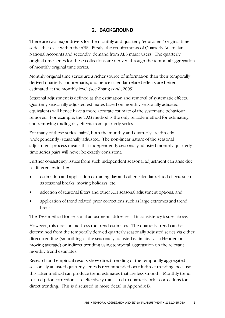# 2. BACKGROUND

There are two major drivers for the monthly and quarterly 'equivalent' original time series that exist within the ABS. Firstly, the requirements of Quarterly Australian National Accounts and secondly, demand from ABS major users. The quarterly original time series for these collections are derived through the temporal aggregation of monthly original time series.

Monthly original time series are a richer source of information than their temporally derived quarterly counterparts, and hence calendar related effects are better estimated at the monthly level (see Zhang *et al.*, 2005).

Seasonal adjustment is defined as the estimation and removal of systematic effects. Quarterly seasonally adjusted estimates based on monthly seasonally adjusted equivalents will hence have a more accurate estimate of the systematic behaviour removed. For example, the TAG method is the only reliable method for estimating and removing trading day effects from quarterly series.

For many of these series 'pairs', both the monthly and quarterly are directly (independently) seasonally adjusted. The non-linear nature of the seasonal adjustment process means that independently seasonally adjusted monthly-quarterly time series pairs will never be exactly consistent.

Further consistency issues from such independent seasonal adjustment can arise due to differences in the:

- estimation and application of trading day and other calendar related effects such as seasonal breaks, moving holidays, etc.;
- selection of seasonal filters and other X11 seasonal adjustment options; and
- application of trend related prior corrections such as large extremes and trend breaks.

The TAG method for seasonal adjustment addresses all inconsistency issues above.

However, this does not address the trend estimates. The quarterly trend can be determined from the temporally derived quarterly seasonally adjusted series via either direct trending (smoothing of the seasonally adjusted estimates via a Henderson moving average) or indirect trending using temporal aggregation on the relevant monthly trend estimates.

Research and empirical results show direct trending of the temporally aggregated seasonally adjusted quarterly series is recommended over indirect trending, because this latter method can produce trend estimates that are less smooth. Monthly trend related prior corrections are effectively translated to quarterly prior corrections for direct trending. This is discussed in more detail in Appendix B.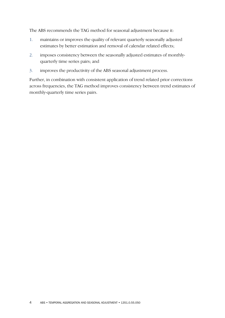The ABS recommends the TAG method for seasonal adjustment because it:

- 1. maintains or improves the quality of relevant quarterly seasonally adjusted estimates by better estimation and removal of calendar related effects;
- 2. imposes consistency between the seasonally adjusted estimates of monthlyquarterly time series pairs; and
- 3. improves the productivity of the ABS seasonal adjustment process.

Further, in combination with consistent application of trend related prior corrections across frequencies, the TAG method improves consistency between trend estimates of monthly-quarterly time series pairs.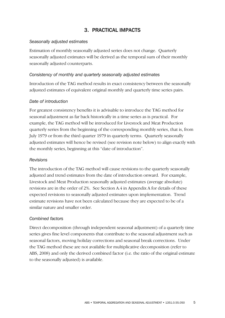# 3. PRACTICAL IMPACTS

## *Seasonally adjusted estimates*

Estimation of monthly seasonally adjusted series does not change. Quarterly seasonally adjusted estimates will be derived as the temporal sum of their monthly seasonally adjusted counterparts.

## *Consistency of monthly and quarterly seasonally adjusted estimates*

Introduction of the TAG method results in exact consistency between the seasonally adjusted estimates of equivalent original monthly and quarterly time series pairs.

## *Date of introduction*

For greatest consistency benefits it is advisable to introduce the TAG method for seasonal adjustment as far back historically in a time series as is practical. For example, the TAG method will be introduced for Livestock and Meat Production quarterly series from the beginning of the corresponding monthly series, that is, from July 1979 or from the third quarter 1979 in quarterly terms. Quarterly seasonally adjusted estimates will hence be revised (see revision note below) to align exactly with the monthly series, beginning at this "date of introduction".

### *Revisions*

The introduction of the TAG method will cause revisions to the quarterly seasonally adjusted and trend estimates from the date of introduction onward. For example, Livestock and Meat Production seasonally adjusted estimates (average absolute) revisions are in the order of 2%. See Section A.4 in Appendix A for details of these expected revisions to seasonally adjusted estimates upon implementation. Trend estimate revisions have not been calculated because they are expected to be of a similar nature and smaller order.

### *Combined factors*

Direct decomposition (through independent seasonal adjustment) of a quarterly time series gives fine level components that contribute to the seasonal adjustment such as seasonal factors, moving holiday corrections and seasonal break corrections. Under the TAG method these are not available for multiplicative decomposition (refer to ABS, 2008) and only the derived combined factor (i.e. the ratio of the original estimate to the seasonally adjusted) is available.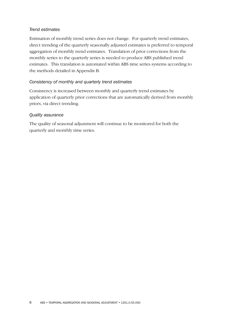#### *Trend estimates*

Estimation of monthly trend series does not change. For quarterly trend estimates, direct trending of the quarterly seasonally adjusted estimates is preferred to temporal aggregation of monthly trend estimates. Translation of prior corrections from the monthly series to the quarterly series is needed to produce ABS published trend estimates. This translation is automated within ABS time series systems according to the methods detailed in Appendix B.

## *Consistency of monthly and quarterly trend estimates*

Consistency is increased between monthly and quarterly trend estimates by application of quarterly prior corrections that are automatically derived from monthly priors, via direct trending.

### *Quality assurance*

The quality of seasonal adjustment will continue to be monitored for both the quarterly and monthly time series.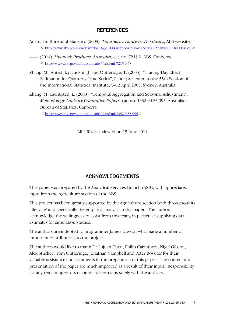## **REFERENCES**

- Australian Bureau of Statistics (2008) *Time Series Analysis: The Basics*, ABS website, < http://www.abs.gov.au/websitedbs/D3310114.nsf/home/Time+Series+Analysis:+The+Basics >
- —— (2014) *Livestock Products, Australia,* cat. no. 7215.0, ABS, Canberra.  $\leq$  http://www.abs.gov.au/ausstats/abs@.nsf/mf/7215.0  $>$
- Zhang, M.; Apted, L.; Hudson, J. and Outteridge, T. (2005) "Trading-Day Effect Estimation for Quarterly Time Series", Paper presented to the 55th Session of the International Statistical Institute, 5–12 April 2005, Sydney, Australia.
- Zhang, M. and Apted, L. (2008) "Temporal Aggregation and Seasonal Adjustment", *Methodology Advisory Committee Papers*, cat. no. 1352.00.55.095, Australian Bureau of Statistics, Canberra.

 $\leq$  http://www.abs.gov.au/ausstats/abs@.nsf/mf/1352.0.55.095  $>$ 

All URLs last viewed on 15 June 2014

# ACKNOWLEDGEMENTS

This paper was prepared by the Analytical Services Branch (ASB), with appreciated input from the Agriculture section of the ABS.

This project has been greatly supported by the Agriculture section both throughout its 'lifecycle' and specifically the empirical analysis in this paper. The authors acknowledge the willingness to assist from this team, in particular supplying data estimates for simulation studies.

The authors are indebted to programmer James Lawson who made a number of important contributions to the project.

The authors would like to thank Dr Lujuan Chen, Philip Carruthers, Nigel Gibson, Alex Stuckey, Tom Outteridge, Jonathan Campbell and Peter Rossiter for their valuable assistance and comments in the preparation of this paper. The content and presentation of the paper are much improved as a result of their input. Responsibility for any remaining errors or omissions remains solely with the authors.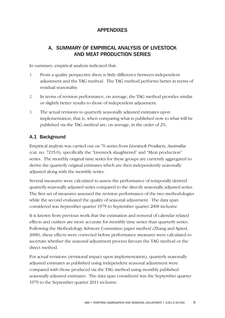# APPENDIXES

# A. SUMMARY OF EMPIRICAL ANALYSIS OF LIVESTOCK AND MEAT PRODUCTION SERIES

In summary, empirical analysis indicated that:

- 1. From a quality perspective there is little difference between independent adjustment and the TAG method. The TAG method performs better in terms of residual seasonality.
- 2. In terms of revision performance, on average, the TAG method provides similar or slightly better results to those of independent adjustment.
- 3. The actual revisions to quarterly seasonally adjusted estimates upon implementation, that is, when comparing what is published now to what will be published via the TAG method are, on average, in the order of 2%.

# A.1 Background

Empirical analysis was carried out on 76 series from *Livestock Products, Australia* (cat. no. 7215.0), specifically the "Livestock slaughtered" and "Meat production" series. The monthly original time series for these groups are currently aggregated to derive the quarterly original estimates which are then independently seasonally adjusted along with the monthly series.

Several measures were calculated to assess the performance of temporally derived quarterly seasonally adjusted series compared to the directly seasonally adjusted series. The first set of measures assessed the revision performance of the two methodologies while the second evaluated the quality of seasonal adjustment. The data span considered was September quarter 1979 to September quarter 2008 inclusive.

It is known from previous work that the estimation and removal of calendar related effects and outliers are more accurate for monthly time series than quarterly series. Following the Methodology Advisory Committee paper method (Zhang and Apted, 2008), these effects were corrected before performance measures were calculated to ascertain whether the seasonal adjustment process favours the TAG method or the direct method.

For actual revisions (revisional impact upon implementation), quarterly seasonally adjusted estimates as published using independent seasonal adjustment were compared with those produced via the TAG method using monthly published seasonally adjusted estimates. The data span considered was the September quarter 1979 to the September quarter 2011 inclusive.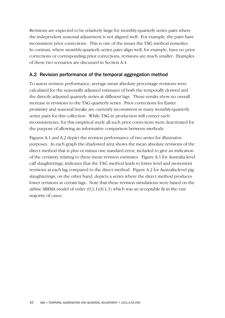Revisions are expected to be relatively large for monthly-quarterly series pairs where the independent seasonal adjustment is not aligned well. For example, the pairs have inconsistent prior corrections. This is one of the issues the TAG method remedies. In contrast, where monthly-quarterly series pairs align well, for example, have no prior corrections or corresponding prior corrections, revisions are much smaller. Examples of these two scenarios are discussed in Section A.4.

# A.2 Revision performance of the temporal aggregation method

To assess revision performance, average mean absolute percentage revisions were calculated for the seasonally adjusted estimates of both the temporally derived and the directly adjusted quarterly series at different lags. These results show no overall increase in revisions to the TAG quarterly series. Prior corrections for Easter proximity and seasonal breaks are currently inconsistent in many monthly/quarterly series pairs for this collection. While TAG in production will correct such inconsistencies, for this empirical study all such prior corrections were deactivated for the purpose of allowing an informative comparison between methods.

Figures A.1 and A.2 depict the revision performance of two series for illustrative purposes. In each graph the shadowed area shows the mean absolute revisions of the direct method that is plus or minus one standard error; included to give an indication of the certainty relating to these mean revision estimates. Figure A.1 for Australia-level calf slaughterings, indicates that the TAG method leads to lower level and movement revisions at each lag compared to the direct method. Figure A.2 for Australia-level pig slaughterings, on the other hand, depicts a series where the direct method produces lower revisions at certain lags. Note that these revision simulations were based on the airline ARIMA model of order  $(0,1,1)(0,1,1)$  which was an acceptable fit in the vast majority of cases.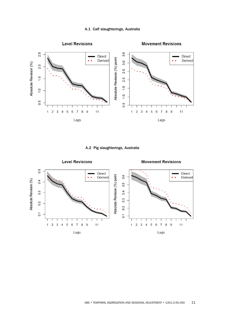



#### A.2 Pig slaughterings, Australia

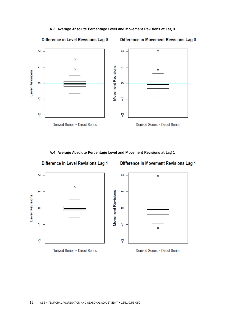A.3 Average Absolute Percentage Level and Movement Revisions at Lag 0



A.4 Average Absolute Percentage Level and Movement Revisions at Lag 1

Difference in Level Revisions Lag 1

Difference in Movement Revisions Lag 1

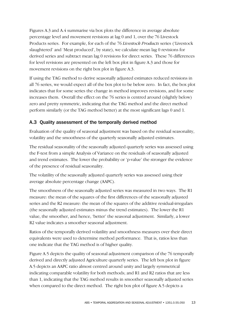Figures A.3 and A.4 summarise via box plots the difference in average absolute percentage level and movement revisions at lag 0 and 1, over the 76 Livestock Products series. For example, for each of the 76 *Livestock Products* series ('Livestock slaughtered' and 'Meat produced', by state), we calculate mean lag 0 revisions for derived series and subtract mean lag 0 revisions for direct series. These 76 differences for level revisions are presented on the left box plot in figure A.3 and those for movement revisions on the right box plot in figure A.3.

If using the TAG method to derive seasonally adjusted estimates reduced revisions in all 76 series, we would expect all of the box plot to be below zero. In fact, the box plot indicates that for some series the change in method improves revisions, and for some increases them. Overall the effect on the 76 series is centred around (slightly below) zero and pretty symmetric, indicating that the TAG method and the direct method perform similarly (or the TAG method better) at the most significant lags 0 and 1.

# A.3 Quality assessment of the temporally derived method

Evaluation of the quality of seasonal adjustment was based on the residual seasonality, volatility and the smoothness of the quarterly seasonally adjusted estimates.

The residual seasonality of the seasonally adjusted quarterly series was assessed using the F-test from a simple Analysis of Variance on the residuals of seasonally adjusted and trend estimates. The lower the probability or 'p-value' the stronger the evidence of the presence of residual seasonality.

The volatility of the seasonally adjusted quarterly series was assessed using their average absolute percentage change (AAPC).

The smoothness of the seasonally adjusted series was measured in two ways. The R1 measure: the mean of the squares of the first differences of the seasonally adjusted series and the R2 measure: the mean of the squares of the additive residual-irregulars (the seasonally adjusted estimates minus the trend estimates). The lower the R1 value, the smoother, and hence, 'better' the seasonal adjustment. Similarly, a lower R2 value indicates a smoother seasonal adjustment.

Ratios of the temporally derived volatility and smoothness measures over their direct equivalents were used to determine method performance. That is, ratios less than one indicate that the TAG method is of higher quality.

Figure A.5 depicts the quality of seasonal adjustment comparison of the 76 temporally derived and directly adjusted Agriculture quarterly series. The left box plot in figure A.5 depicts an AAPC ratio almost centred around unity and largely symmetrical indicating comparable volatility for both methods; and R1 and R2 ratios that are less than 1, indicating that the TAG method results in smoother seasonally adjusted series when compared to the direct method. The right box plot of figure A.5 depicts a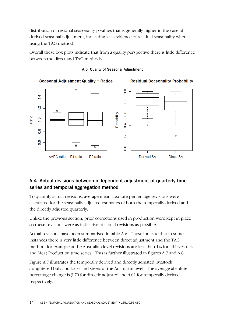distribution of residual seasonality p-values that is generally higher in the case of derived seasonal adjustment, indicating less evidence of residual seasonality when using the TAG method.

Overall these box plots indicate that from a quality perspective there is little difference between the direct and TAG methods.



#### A.5 Quality of Seasonal Adjustment

# A.4 Actual revisions between independent adjustment of quarterly time series and temporal aggregation method

To quantify actual revisions, average mean absolute percentage revisions were calculated for the seasonally adjusted estimates of both the temporally derived and the directly adjusted quarterly.

Unlike the previous section, prior corrections used in production were kept in place so these revisions were as indicative of actual revisions as possible.

Actual revisions have been summarised in table A.6. These indicate that in some instances there is very little difference between direct adjustment and the TAG method, for example at the Australian level revisions are less than 1% for all Livestock and Meat Production time series. This is further illustrated in figures A.7 and A.8.

Figure A.7 illustrates the temporally derived and directly adjusted livestock slaughtered bulls, bullocks and steers at the Australian level. The average absolute percentage change is 3.70 for directly adjusted and 4.01 for temporally derived respectively.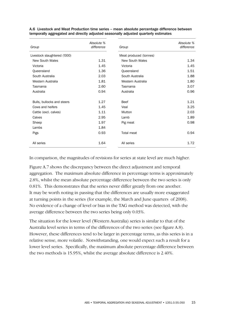| Group                        | Absolute %<br>difference | Group                  | Absolute %<br>difference |
|------------------------------|--------------------------|------------------------|--------------------------|
| Livestock slaughtered ('000) |                          | Meat produced (tonnes) |                          |
| New South Wales              | 1.31                     | New South Wales        | 1.34                     |
| Victoria                     | 1.45                     | Victoria               | 1.45                     |
| Queensland                   | 1.36                     | Queensland             | 1.51                     |
| South Australia              | 2.03                     | South Australia        | 1.88                     |
| Western Australia            | 1.81                     | Western Australia      | 1.80                     |
| Tasmania                     | 2.60                     | Tasmania               | 3.07                     |
| Australia                    | 0.94                     | Australia              | 0.96                     |
| Bulls, bullocks and steers   | 1.27                     | <b>Beef</b>            | 1.21                     |
| Cows and heifers             | 1.45                     | Veal                   | 3.25                     |
| Cattle (excl. calves)        | 1.11                     | Mutton                 | 2.03                     |
| Calves                       | 2.95                     | Lamb                   | 1.89                     |
| Sheep                        | 1.97                     | Pig meat               | 0.98                     |
| Lambs                        | 1.84                     |                        |                          |
| <b>Pigs</b>                  | 0.93                     | Total meat             | 0.94                     |
| All series                   | 1.64                     | All series             | 1.72                     |

A.6 Livestock and Meat Production time series – mean absolute percentage difference between temporally aggregated and directly adjusted seasonally adjusted quarterly estimates

In comparison, the magnitudes of revisions for series at state level are much higher.

Figure A.7 shows the discrepancy between the direct adjustment and temporal aggregation. The maximum absolute difference in percentage terms is approximately 2.8%, whilst the mean absolute percentage difference between the two series is only 0.81%. This demonstrates that the series never differ greatly from one another. It may be worth noting in passing that the differences are usually more exaggerated at turning points in the series (for example, the March and June quarters of 2008). No evidence of a change of level or bias in the TAG method was detected, with the average difference between the two series being only 0.03%.

The situation for the lower level (Western Australia) series is similar to that of the Australia level series in terms of the differences of the two series (see figure A.8). However, these differences tend to be larger in percentage terms, as this series is in a relative sense, more volatile. Notwithstanding, one would expect such a result for a lower level series. Specifically, the maximum absolute percentage difference between the two methods is 15.95%, whilst the average absolute difference is 2.40%.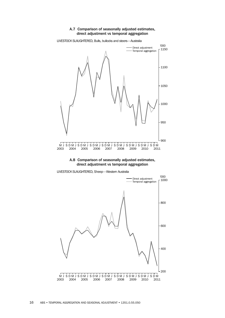#### A.7 Comparison of seasonally adjusted estimates, direct adjustment vs temporal aggregation



LIVESTOCK SLAUGHTERED, Bulls, bullocks and steers—Australia

#### A.8 Comparison of seasonally adjusted estimates, direct adjustment vs temporal aggregation

LIVESTOCK SLAUGHTERED, Sheep—Western Australia

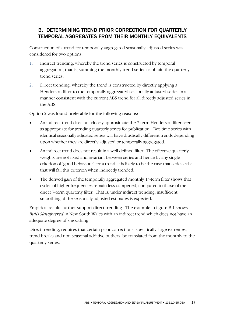# B. DETERMINING TREND PRIOR CORRECTION FOR QUARTERLY TEMPORAL AGGREGATES FROM THEIR MONTHLY EQUIVALENTS

Construction of a trend for temporally aggregated seasonally adjusted series was considered for two options:

- 1. Indirect trending, whereby the trend series is constructed by temporal aggregation, that is, summing the monthly trend series to obtain the quarterly trend series.
- 2. Direct trending, whereby the trend is constructed by directly applying a Henderson filter to the temporally aggregated seasonally adjusted series in a manner consistent with the current ABS trend for all directly adjusted series in the ABS.

Option 2 was found preferable for the following reasons:

- An indirect trend does not closely approximate the 7-term Henderson filter seen as appropriate for trending quarterly series for publication. Two time series with identical seasonally adjusted series will have drastically different trends depending upon whether they are directly adjusted or temporally aggregated.
- An indirect trend does not result in a well-defined filter. The effective quarterly weights are not fixed and invariant between series and hence by any single criterion of 'good behaviour' for a trend, it is likely to be the case that series exist that will fail this criterion when indirectly trended.
- The derived gain of the temporally aggregated monthly 13-term filter shows that cycles of higher frequencies remain less dampened, compared to those of the direct 7-term quarterly filter. That is, under indirect trending, insufficient smoothing of the seasonally adjusted estimates is expected.

Empirical results further support direct trending. The example in figure B.1 shows *Bulls Slaughtered* in New South Wales with an indirect trend which does not have an adequate degree of smoothing.

Direct trending, requires that certain prior corrections, specifically large extremes, trend breaks and non-seasonal additive outliers, be translated from the monthly to the quarterly series.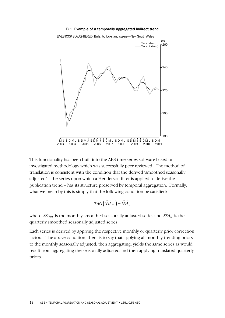#### B.1 Example of a temporally aggregated indirect trend



LIVESTOCK SLAUGHTERED, Bulls, bullocks and steers—New South Wales

This functionality has been built into the ABS time series software based on investigated methodology which was successfully peer reviewed. The method of translation is consistent with the condition that the derived 'smoothed seasonally adjusted' – the series upon which a Henderson filter is applied to derive the publication trend – has its structure preserved by temporal aggregation. Formally, what we mean by this is simply that the following condition be satisfied:

$$
TAG\left(\widetilde{SSA}_{m}\right)=\widetilde{SSA}_{q}
$$

where  $\widetilde{SSA}_m$  is the monthly smoothed seasonally adjusted series and  $\widetilde{SSA}_q$  is the quarterly smoothed seasonally adjusted series.

Each series is derived by applying the respective monthly or quarterly prior correction factors. The above condition, then, is to say that applying all monthly trending priors to the monthly seasonally adjusted, then aggregating, yields the same series as would result from aggregating the seasonally adjusted and then applying translated quarterly priors.